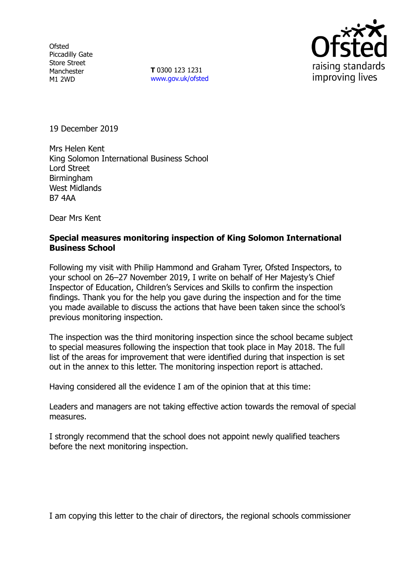**Ofsted** Piccadilly Gate Store Street Manchester M1 2WD

**T** 0300 123 1231 www.gov.uk/ofsted



19 December 2019

Mrs Helen Kent King Solomon International Business School Lord Street **Birmingham** West Midlands B7 4AA

Dear Mrs Kent

### **Special measures monitoring inspection of King Solomon International Business School**

Following my visit with Philip Hammond and Graham Tyrer, Ofsted Inspectors, to your school on 26–27 November 2019, I write on behalf of Her Majesty's Chief Inspector of Education, Children's Services and Skills to confirm the inspection findings. Thank you for the help you gave during the inspection and for the time you made available to discuss the actions that have been taken since the school's previous monitoring inspection.

The inspection was the third monitoring inspection since the school became subject to special measures following the inspection that took place in May 2018. The full list of the areas for improvement that were identified during that inspection is set out in the annex to this letter. The monitoring inspection report is attached.

Having considered all the evidence I am of the opinion that at this time:

Leaders and managers are not taking effective action towards the removal of special measures.

I strongly recommend that the school does not appoint newly qualified teachers before the next monitoring inspection.

I am copying this letter to the chair of directors, the regional schools commissioner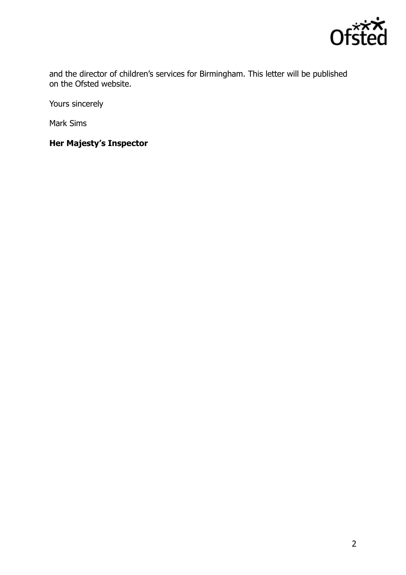

and the director of children's services for Birmingham. This letter will be published on the Ofsted website.

Yours sincerely

Mark Sims

**Her Majesty's Inspector**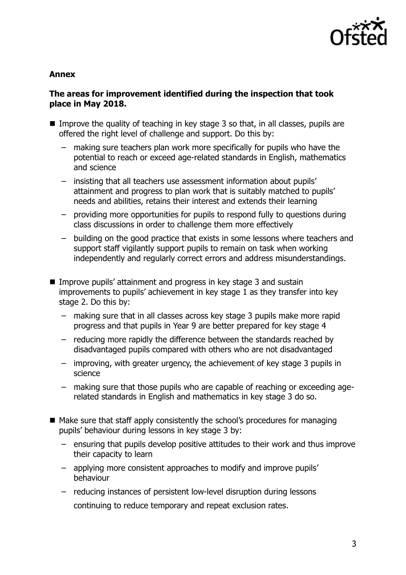

## **Annex**

# **The areas for improvement identified during the inspection that took place in May 2018.**

- Improve the quality of teaching in key stage 3 so that, in all classes, pupils are offered the right level of challenge and support. Do this by:
	- making sure teachers plan work more specifically for pupils who have the potential to reach or exceed age-related standards in English, mathematics and science
	- insisting that all teachers use assessment information about pupils' attainment and progress to plan work that is suitably matched to pupils' needs and abilities, retains their interest and extends their learning
	- providing more opportunities for pupils to respond fully to questions during class discussions in order to challenge them more effectively
	- building on the good practice that exists in some lessons where teachers and support staff vigilantly support pupils to remain on task when working independently and regularly correct errors and address misunderstandings.
- Improve pupils' attainment and progress in key stage 3 and sustain improvements to pupils' achievement in key stage 1 as they transfer into key stage 2. Do this by:
	- making sure that in all classes across key stage 3 pupils make more rapid progress and that pupils in Year 9 are better prepared for key stage 4
	- reducing more rapidly the difference between the standards reached by disadvantaged pupils compared with others who are not disadvantaged
	- improving, with greater urgency, the achievement of key stage 3 pupils in science
	- making sure that those pupils who are capable of reaching or exceeding agerelated standards in English and mathematics in key stage 3 do so.
- $\blacksquare$  Make sure that staff apply consistently the school's procedures for managing pupils' behaviour during lessons in key stage 3 by:
	- ensuring that pupils develop positive attitudes to their work and thus improve their capacity to learn
	- applying more consistent approaches to modify and improve pupils' behaviour
	- reducing instances of persistent low-level disruption during lessons continuing to reduce temporary and repeat exclusion rates.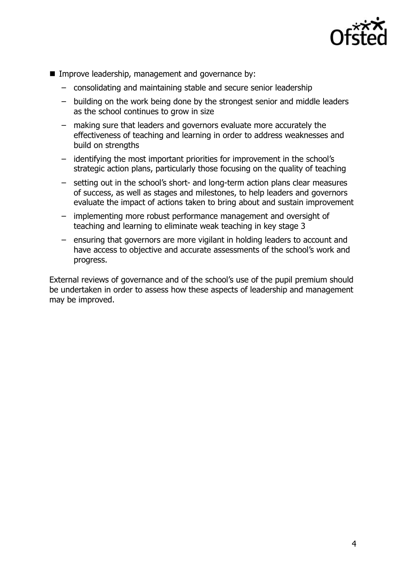

- Improve leadership, management and governance by:
	- consolidating and maintaining stable and secure senior leadership
	- building on the work being done by the strongest senior and middle leaders as the school continues to grow in size
	- making sure that leaders and governors evaluate more accurately the effectiveness of teaching and learning in order to address weaknesses and build on strengths
	- identifying the most important priorities for improvement in the school's strategic action plans, particularly those focusing on the quality of teaching
	- setting out in the school's short- and long-term action plans clear measures of success, as well as stages and milestones, to help leaders and governors evaluate the impact of actions taken to bring about and sustain improvement
	- implementing more robust performance management and oversight of teaching and learning to eliminate weak teaching in key stage 3
	- ensuring that governors are more vigilant in holding leaders to account and have access to objective and accurate assessments of the school's work and progress.

External reviews of governance and of the school's use of the pupil premium should be undertaken in order to assess how these aspects of leadership and management may be improved.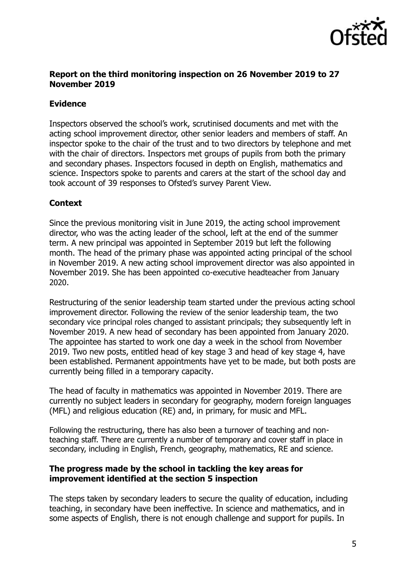

## **Report on the third monitoring inspection on 26 November 2019 to 27 November 2019**

# **Evidence**

Inspectors observed the school's work, scrutinised documents and met with the acting school improvement director, other senior leaders and members of staff. An inspector spoke to the chair of the trust and to two directors by telephone and met with the chair of directors. Inspectors met groups of pupils from both the primary and secondary phases. Inspectors focused in depth on English, mathematics and science. Inspectors spoke to parents and carers at the start of the school day and took account of 39 responses to Ofsted's survey Parent View.

# **Context**

Since the previous monitoring visit in June 2019, the acting school improvement director, who was the acting leader of the school, left at the end of the summer term. A new principal was appointed in September 2019 but left the following month. The head of the primary phase was appointed acting principal of the school in November 2019. A new acting school improvement director was also appointed in November 2019. She has been appointed co-executive headteacher from January 2020.

Restructuring of the senior leadership team started under the previous acting school improvement director. Following the review of the senior leadership team, the two secondary vice principal roles changed to assistant principals; they subsequently left in November 2019. A new head of secondary has been appointed from January 2020. The appointee has started to work one day a week in the school from November 2019. Two new posts, entitled head of key stage 3 and head of key stage 4, have been established. Permanent appointments have yet to be made, but both posts are currently being filled in a temporary capacity.

The head of faculty in mathematics was appointed in November 2019. There are currently no subject leaders in secondary for geography, modern foreign languages (MFL) and religious education (RE) and, in primary, for music and MFL.

Following the restructuring, there has also been a turnover of teaching and nonteaching staff. There are currently a number of temporary and cover staff in place in secondary, including in English, French, geography, mathematics, RE and science.

### **The progress made by the school in tackling the key areas for improvement identified at the section 5 inspection**

The steps taken by secondary leaders to secure the quality of education, including teaching, in secondary have been ineffective. In science and mathematics, and in some aspects of English, there is not enough challenge and support for pupils. In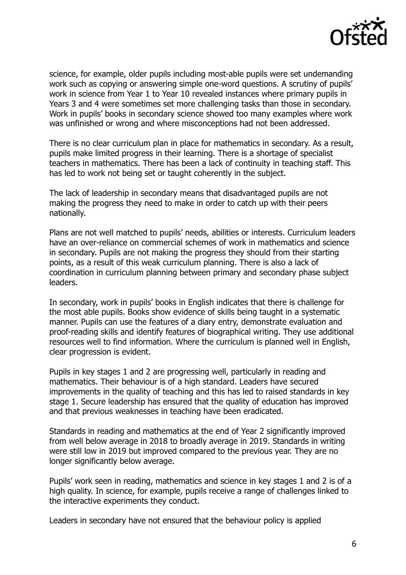

science, for example, older pupils including most-able pupils were set undemanding work such as copying or answering simple one-word questions. A scrutiny of pupils' work in science from Year 1 to Year 10 revealed instances where primary pupils in Years 3 and 4 were sometimes set more challenging tasks than those in secondary. Work in pupils' books in secondary science showed too many examples where work was unfinished or wrong and where misconceptions had not been addressed.

There is no clear curriculum plan in place for mathematics in secondary. As a result, pupils make limited progress in their learning. There is a shortage of specialist teachers in mathematics. There has been a lack of continuity in teaching staff. This has led to work not being set or taught coherently in the subject.

The lack of leadership in secondary means that disadvantaged pupils are not making the progress they need to make in order to catch up with their peers nationally.

Plans are not well matched to pupils' needs, abilities or interests. Curriculum leaders have an over-reliance on commercial schemes of work in mathematics and science in secondary. Pupils are not making the progress they should from their starting points, as a result of this weak curriculum planning. There is also a lack of coordination in curriculum planning between primary and secondary phase subject leaders.

In secondary, work in pupils' books in English indicates that there is challenge for the most able pupils. Books show evidence of skills being taught in a systematic manner. Pupils can use the features of a diary entry, demonstrate evaluation and proof-reading skills and identify features of biographical writing. They use additional resources well to find information. Where the curriculum is planned well in English, clear progression is evident.

Pupils in key stages 1 and 2 are progressing well, particularly in reading and mathematics. Their behaviour is of a high standard. Leaders have secured improvements in the quality of teaching and this has led to raised standards in key stage 1. Secure leadership has ensured that the quality of education has improved and that previous weaknesses in teaching have been eradicated.

Standards in reading and mathematics at the end of Year 2 significantly improved from well below average in 2018 to broadly average in 2019. Standards in writing were still low in 2019 but improved compared to the previous year. They are no longer significantly below average.

Pupils' work seen in reading, mathematics and science in key stages 1 and 2 is of a high quality. In science, for example, pupils receive a range of challenges linked to the interactive experiments they conduct.

Leaders in secondary have not ensured that the behaviour policy is applied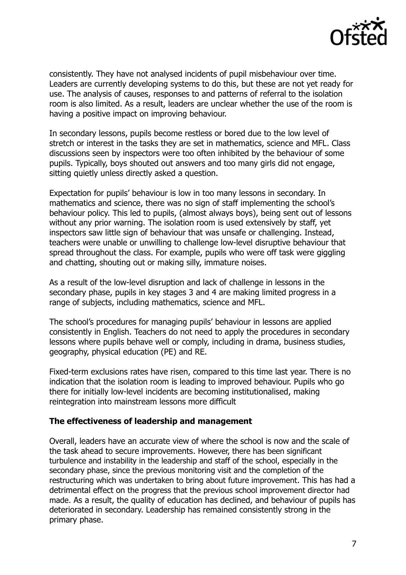

consistently. They have not analysed incidents of pupil misbehaviour over time. Leaders are currently developing systems to do this, but these are not yet ready for use. The analysis of causes, responses to and patterns of referral to the isolation room is also limited. As a result, leaders are unclear whether the use of the room is having a positive impact on improving behaviour.

In secondary lessons, pupils become restless or bored due to the low level of stretch or interest in the tasks they are set in mathematics, science and MFL. Class discussions seen by inspectors were too often inhibited by the behaviour of some pupils. Typically, boys shouted out answers and too many girls did not engage, sitting quietly unless directly asked a question.

Expectation for pupils' behaviour is low in too many lessons in secondary. In mathematics and science, there was no sign of staff implementing the school's behaviour policy. This led to pupils, (almost always boys), being sent out of lessons without any prior warning. The isolation room is used extensively by staff, yet inspectors saw little sign of behaviour that was unsafe or challenging. Instead, teachers were unable or unwilling to challenge low-level disruptive behaviour that spread throughout the class. For example, pupils who were off task were giggling and chatting, shouting out or making silly, immature noises.

As a result of the low-level disruption and lack of challenge in lessons in the secondary phase, pupils in key stages 3 and 4 are making limited progress in a range of subjects, including mathematics, science and MFL.

The school's procedures for managing pupils' behaviour in lessons are applied consistently in English. Teachers do not need to apply the procedures in secondary lessons where pupils behave well or comply, including in drama, business studies, geography, physical education (PE) and RE.

Fixed-term exclusions rates have risen, compared to this time last year. There is no indication that the isolation room is leading to improved behaviour. Pupils who go there for initially low-level incidents are becoming institutionalised, making reintegration into mainstream lessons more difficult

#### **The effectiveness of leadership and management**

Overall, leaders have an accurate view of where the school is now and the scale of the task ahead to secure improvements. However, there has been significant turbulence and instability in the leadership and staff of the school, especially in the secondary phase, since the previous monitoring visit and the completion of the restructuring which was undertaken to bring about future improvement. This has had a detrimental effect on the progress that the previous school improvement director had made. As a result, the quality of education has declined, and behaviour of pupils has deteriorated in secondary. Leadership has remained consistently strong in the primary phase.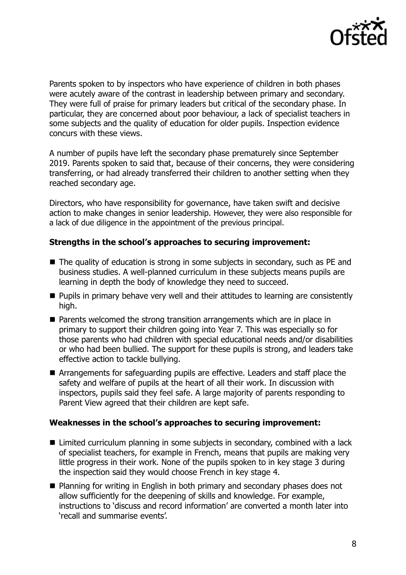

Parents spoken to by inspectors who have experience of children in both phases were acutely aware of the contrast in leadership between primary and secondary. They were full of praise for primary leaders but critical of the secondary phase. In particular, they are concerned about poor behaviour, a lack of specialist teachers in some subjects and the quality of education for older pupils. Inspection evidence concurs with these views.

A number of pupils have left the secondary phase prematurely since September 2019. Parents spoken to said that, because of their concerns, they were considering transferring, or had already transferred their children to another setting when they reached secondary age.

Directors, who have responsibility for governance, have taken swift and decisive action to make changes in senior leadership. However, they were also responsible for a lack of due diligence in the appointment of the previous principal.

### **Strengths in the school's approaches to securing improvement:**

- The quality of education is strong in some subjects in secondary, such as PE and business studies. A well-planned curriculum in these subjects means pupils are learning in depth the body of knowledge they need to succeed.
- **Pupils in primary behave very well and their attitudes to learning are consistently** high.
- Parents welcomed the strong transition arrangements which are in place in primary to support their children going into Year 7. This was especially so for those parents who had children with special educational needs and/or disabilities or who had been bullied. The support for these pupils is strong, and leaders take effective action to tackle bullying.
- Arrangements for safeguarding pupils are effective. Leaders and staff place the safety and welfare of pupils at the heart of all their work. In discussion with inspectors, pupils said they feel safe. A large majority of parents responding to Parent View agreed that their children are kept safe.

#### **Weaknesses in the school's approaches to securing improvement:**

- Limited curriculum planning in some subjects in secondary, combined with a lack of specialist teachers, for example in French, means that pupils are making very little progress in their work. None of the pupils spoken to in key stage 3 during the inspection said they would choose French in key stage 4.
- Planning for writing in English in both primary and secondary phases does not allow sufficiently for the deepening of skills and knowledge. For example, instructions to 'discuss and record information' are converted a month later into 'recall and summarise events'.